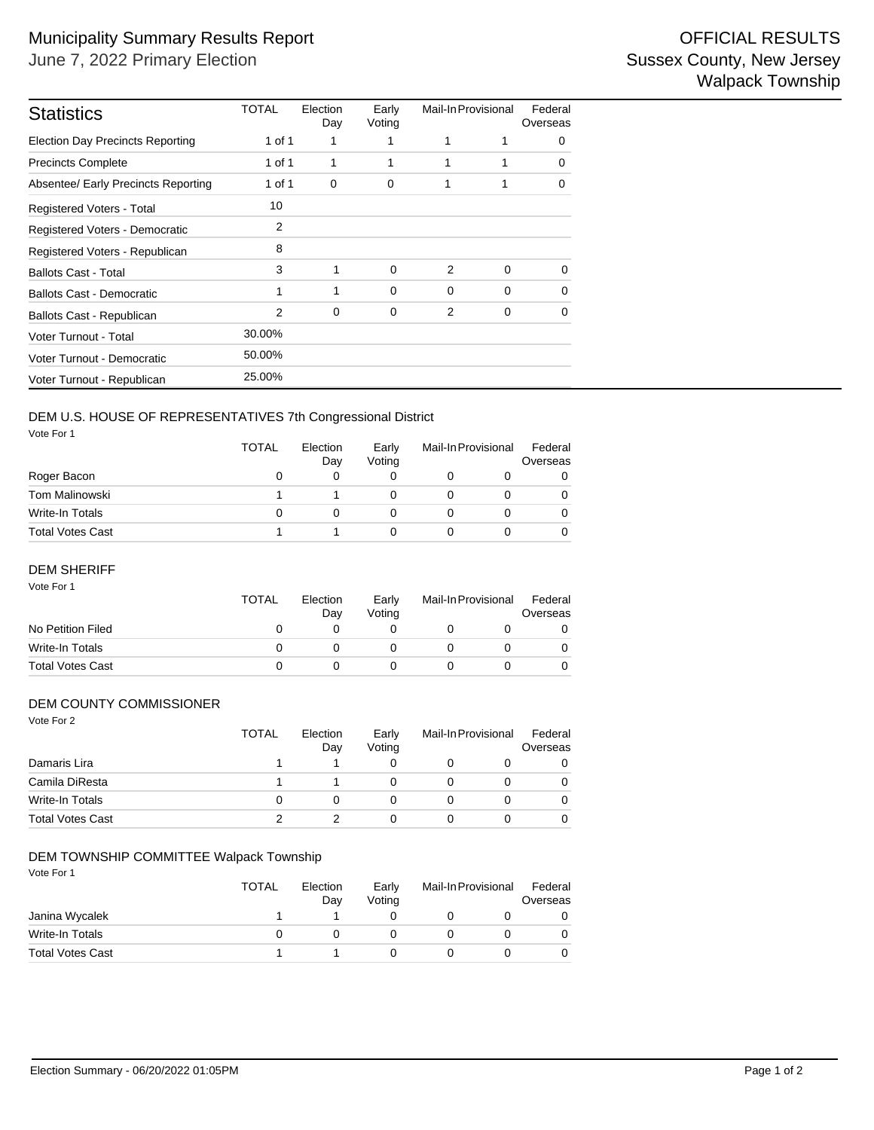| <b>Statistics</b>                       | TOTAL  | Election<br>Day | Early<br>Voting | Mail-In Provisional |             | Federal<br>Overseas |  |
|-----------------------------------------|--------|-----------------|-----------------|---------------------|-------------|---------------------|--|
| <b>Election Day Precincts Reporting</b> | 1 of 1 | 1               |                 | 1                   | 1           | 0                   |  |
| <b>Precincts Complete</b>               | 1 of 1 | 1               | 1               | 1                   | 1           | $\Omega$            |  |
| Absentee/ Early Precincts Reporting     | 1 of 1 | 0               | 0               | 1                   | 1           | $\Omega$            |  |
| Registered Voters - Total               | 10     |                 |                 |                     |             |                     |  |
| Registered Voters - Democratic          | 2      |                 |                 |                     |             |                     |  |
| Registered Voters - Republican          | 8      |                 |                 |                     |             |                     |  |
| <b>Ballots Cast - Total</b>             | 3      | 1               | $\Omega$        | 2                   | $\Omega$    | $\Omega$            |  |
| <b>Ballots Cast - Democratic</b>        | 1      | 1               | $\Omega$        | 0                   | $\Omega$    | 0                   |  |
| Ballots Cast - Republican               | 2      | $\mathbf 0$     | 0               | 2                   | $\mathbf 0$ | $\Omega$            |  |
| Voter Turnout - Total                   | 30.00% |                 |                 |                     |             |                     |  |
| Voter Turnout - Democratic              | 50.00% |                 |                 |                     |             |                     |  |
| Voter Turnout - Republican              | 25.00% |                 |                 |                     |             |                     |  |

# DEM U.S. HOUSE OF REPRESENTATIVES 7th Congressional District

Vote For 1

|                  | TOTAL        | Election<br>Day | Early<br>Voting | Mail-In Provisional |  | Federal<br>Overseas |  |
|------------------|--------------|-----------------|-----------------|---------------------|--|---------------------|--|
| Roger Bacon      | O            |                 |                 |                     |  | 0                   |  |
| Tom Malinowski   |              |                 |                 |                     |  | $\Omega$            |  |
| Write-In Totals  | $\mathbf{0}$ |                 |                 |                     |  | $\Omega$            |  |
| Total Votes Cast |              |                 |                 |                     |  | 0                   |  |

## DEM SHERIFF

| Vote For 1              | <b>TOTAL</b> | Election<br>Day | Early<br>Votina | Mail-In Provisional |  | Federal<br>Overseas |
|-------------------------|--------------|-----------------|-----------------|---------------------|--|---------------------|
| No Petition Filed       | O            |                 |                 |                     |  | O                   |
| Write-In Totals         | Ω            |                 |                 |                     |  |                     |
| <b>Total Votes Cast</b> | 0            |                 |                 |                     |  |                     |

## DEM COUNTY COMMISSIONER

| Vote For 2              | <b>TOTAL</b> | Election<br>Day | Early<br>Voting | Mail-In Provisional |  | Federal<br>Overseas |  |
|-------------------------|--------------|-----------------|-----------------|---------------------|--|---------------------|--|
| Damaris Lira            |              |                 | 0               | O                   |  | 0                   |  |
| Camila DiResta          |              |                 | 0               | 0                   |  | 0                   |  |
| Write-In Totals         | 0            | 0               | 0               | 0                   |  | 0                   |  |
| <b>Total Votes Cast</b> | 2            |                 | 0               | 0                   |  | 0                   |  |

# DEM TOWNSHIP COMMITTEE Walpack Township

| Vote For 1              | <b>TOTAL</b> | Election<br>Day | Early<br>Voting | Mail-In Provisional |  | Federal<br>Overseas |
|-------------------------|--------------|-----------------|-----------------|---------------------|--|---------------------|
| Janina Wycalek          |              |                 |                 |                     |  |                     |
| Write-In Totals         | 0            |                 |                 |                     |  |                     |
| <b>Total Votes Cast</b> |              |                 |                 |                     |  |                     |